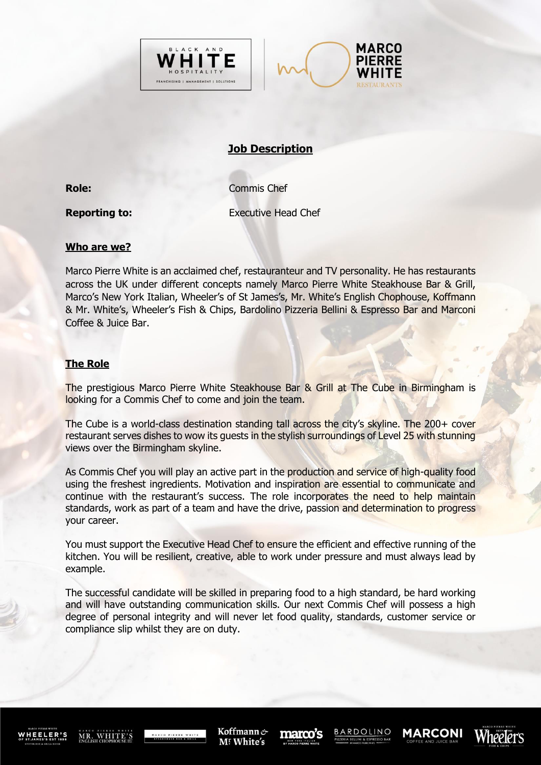



# **Job Description**

**Role:** Commis Chef

**Reporting to:** Executive Head Chef

## **Who are we?**

Marco Pierre White is an acclaimed chef, restauranteur and TV personality. He has restaurants across the UK under different concepts namely Marco Pierre White Steakhouse Bar & Grill, Marco's New York Italian, Wheeler's of St James's, Mr. White's English Chophouse, Koffmann & Mr. White's, Wheeler's Fish & Chips, Bardolino Pizzeria Bellini & Espresso Bar and Marconi Coffee & Juice Bar.

# **The Role**

The prestigious Marco Pierre White Steakhouse Bar & Grill at The Cube in Birmingham is looking for a Commis Chef to come and join the team.

The Cube is a world-class destination standing tall across the city's skyline. The 200+ cover restaurant serves dishes to wow its guests in the stylish surroundings of Level 25 with stunning views over the Birmingham skyline.

As Commis Chef you will play an active part in the production and service of high-quality food using the freshest ingredients. Motivation and inspiration are essential to communicate and continue with the restaurant's success. The role incorporates the need to help maintain standards, work as part of a team and have the drive, passion and determination to progress your career.

You must support the Executive Head Chef to ensure the efficient and effective running of the kitchen. You will be resilient, creative, able to work under pressure and must always lead by example.

The successful candidate will be skilled in preparing food to a high standard, be hard working and will have outstanding communication skills. Our next Commis Chef will possess a high degree of personal integrity and will never let food quality, standards, customer service or compliance slip whilst they are on duty.

WHEELER

MR. WHITE'S

Koffmann & M! White's

marco's

**BARDOLINO** 

**MARCONI**